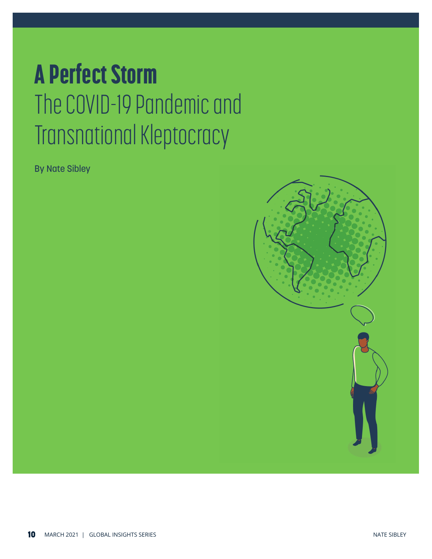# A Perfect Storm The COVID-19 Pandemic and Transnational Kleptocracy

By Nate Sibley

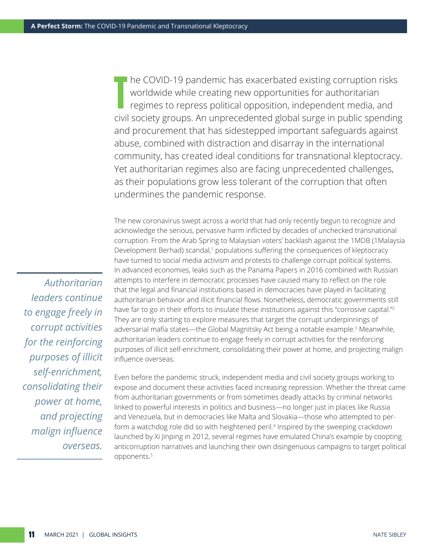The COVID-19 pandemic has exacerbated existing corruption risks<br>worldwide while creating new opportunities for authoritarian<br>regimes to repress political opposition, independent media, and worldwide while creating new opportunities for authoritarian regimes to repress political opposition, independent media, and civil society groups. An unprecedented global surge in public spending and procurement that has sidestepped important safeguards against abuse, combined with distraction and disarray in the international community, has created ideal conditions for transnational kleptocracy. Yet authoritarian regimes also are facing unprecedented challenges, as their populations grow less tolerant of the corruption that often undermines the pandemic response.

The new coronavirus swept across a world that had only recently begun to recognize and acknowledge the serious, pervasive harm inflicted by decades of unchecked transnational corruption. From the Arab Spring to Malaysian voters' backlash against the 1MDB (1Malaysia Development Berhad) scandal,<sup>1</sup> populations suffering the consequences of kleptocracy have turned to social media activism and protests to challenge corrupt political systems. In advanced economies, leaks such as the Panama Papers in 2016 combined with Russian attempts to interfere in democratic processes have caused many to reflect on the role that the legal and financial institutions based in democracies have played in facilitating authoritarian behavior and illicit financial flows. Nonetheless, democratic governments still have far to go in their efforts to insulate these institutions against this "corrosive capital."<sup>2</sup> They are only starting to explore measures that target the corrupt underpinnings of adversarial mafia states—the Global Magnitsky Act being a notable example.<sup>3</sup> Meanwhile, authoritarian leaders continue to engage freely in corrupt activities for the reinforcing purposes of illicit self-enrichment, consolidating their power at home, and projecting malign influence overseas.

Even before the pandemic struck, independent media and civil society groups working to expose and document these activities faced increasing repression. Whether the threat came from authoritarian governments or from sometimes deadly attacks by criminal networks linked to powerful interests in politics and business—no longer just in places like Russia and Venezuela, but in democracies like Malta and Slovakia—those who attempted to perform a watchdog role did so with heightened peril.4 Inspired by the sweeping crackdown launched by Xi Jinping in 2012, several regimes have emulated China's example by coopting anticorruption narratives and launching their own disingenuous campaigns to target political opponents.5

*Authoritarian leaders continue to engage freely in corrupt activities for the reinforcing purposes of illicit self-enrichment, consolidating their power at home, and projecting malign influence overseas.*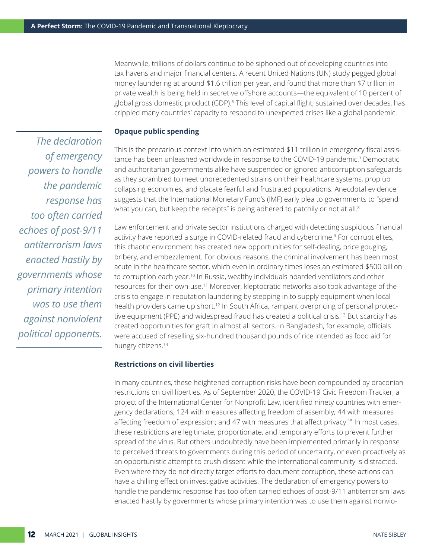Meanwhile, trillions of dollars continue to be siphoned out of developing countries into tax havens and major financial centers. A recent United Nations ([UN\) study](https://www.un.org/development/desa/en/news/financing/facti-interim-report.html) pegged global money laundering at around \$1.6 trillion per year, and found that more than \$7 trillion in private wealth is being held in secretive offshore accounts—the equivalent of 10 percent of global gross domestic product (GDP).<sup>6</sup> This level of capital flight, sustained over decades, has crippled many countries' capacity to respond to unexpected crises like a global pandemic.

## **Opaque public spending**

This is the precarious context into which an estimated \$11 trillion in emergency fiscal assistance has been unleashed worldwide in response to the COVID-19 pandemic.7 Democratic and authoritarian governments alike have suspended or ignored anticorruption safeguards as they scrambled to meet unprecedented strains on their healthcare systems, prop up collapsing economies, and placate fearful and frustrated populations. Anecdotal evidence suggests that the International Monetary Fund's (IMF) early plea to governments to "spend what you can, but keep the receipts" is being adhered to patchily or not at all.<sup>8</sup>

Law enforcement and private sector institutions charged with detecting suspicious financial activity have reported a surge in COVID-related fraud and cybercrime.<sup>9</sup> For corrupt elites, this chaotic environment has created new opportunities for self-dealing, price gouging, bribery, and embezzlement. For obvious reasons, the criminal involvement has been most acute in the healthcare sector, which even in ordinary times loses an estimated \$500 billion to corruption each year.<sup>10</sup> In Russia, wealthy individuals hoarded ventilators and other resources for their own use.11 Moreover, kleptocratic networks also took advantage of the crisis to engage in reputation laundering by stepping in to supply equipment when local health providers came up short.<sup>12</sup> In South Africa, rampant overpricing of personal protective equipment (PPE) and widespread fraud has created a political crisis.<sup>13</sup> But scarcity has created opportunities for graft in almost all sectors. In Bangladesh, for example, officials were accused of reselling six-hundred thousand pounds of rice intended as food aid for hungry citizens.14

#### **Restrictions on civil liberties**

In many countries, these heightened corruption risks have been compounded by draconian restrictions on civil liberties. As of September 2020, the [C](https://www.icnl.org/covid19tracker/)OVID-19 Civic Freedom Tracker, a project of the International Center for Nonprofit Law, identified ninety countries with emergency declarations; 124 with measures affecting freedom of assembly; 44 with measures affecting freedom of expression; and 47 with measures that affect privacy.15 In most cases, these restrictions are legitimate, proportionate, and temporary efforts to prevent further spread of the virus. But others undoubtedly have been implemented primarily in response to perceived threats to governments during this period of uncertainty, or even proactively as an opportunistic attempt to crush dissent while the international community is distracted. Even where they do not directly target efforts to document corruption, these actions can have a chilling effect on investigative activities. The declaration of emergency powers to handle the pandemic response has too often carried echoes of post-9/11 antiterrorism laws enacted hastily by governments whose primary intention was to use them against nonvio-

*The declaration of emergency powers to handle the pandemic response has too often carried echoes of post-9/11 antiterrorism laws enacted hastily by governments whose primary intention was to use them against nonviolent political opponents.*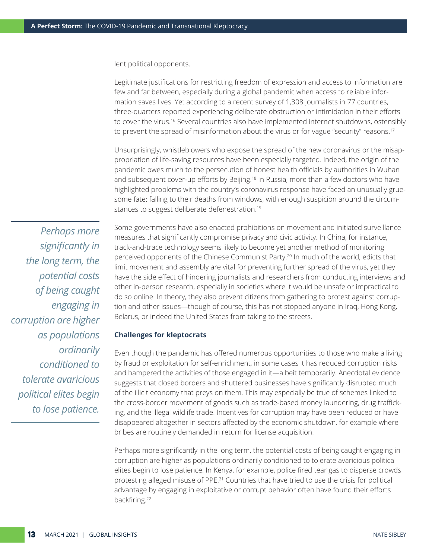lent political opponents.

Legitimate justifications for restricting freedom of expression and access to information are few and far between, especially during a global pandemic when access to reliable information saves lives. Yet according to a [recent survey](https://apnews.com/article/47db5132af91c52d6c0757aa59ffed2b) of 1,308 journalists in 77 countries, three-quarters reported experiencing deliberate obstruction or intimidation in their efforts to cover the virus.16 Several countries also have implemented internet shutdowns, ostensibly to prevent the spread of misinformation about the virus or for vague "security" reasons.<sup>17</sup>

Unsurprisingly, whistleblowers who expose the spread of the new coronavirus or the misappropriation of life-saving resources have been especially targeted. Indeed, the origin of the pandemic [owes much](https://www.axios.com/timeline-the-early-days-of-chinas-coronavirus-outbreak-and-cover-up-ee65211a-afb6-4641-97b8-353718a5faab.html) to the persecution of honest health officials by authorities in Wuhan and subsequent cover-up efforts by Beijing.<sup>18</sup> In Russia, more than a few doctors who have highlighted problems with the country's coronavirus response have faced an unusually gruesome fate: falling to their deaths from windows, with enough suspicion around the circumstances to suggest deliberate defenestration.19

*Perhaps more significantly in the long term, the potential costs of being caught engaging in corruption are higher as populations ordinarily conditioned to tolerate avaricious political elites begin to lose patience.*

Some governments have also enacted prohibitions on movement and initiated surveillance measures that significantly compromise privacy and civic activity. In China, for instance, track-and-trace technology seems likely to become yet another method of monitoring perceived opponents of the Chinese Communist Party.20 In much of the world, edicts that limit movement and assembly are vital for preventing further spread of the virus, yet they have the side effect of hindering journalists and researchers from conducting interviews and other in-person research, especially in societies where it would be unsafe or impractical to do so online. In theory, they also prevent citizens from gathering to protest against corruption and other issues—though of course, this has not stopped anyone in Iraq, Hong Kong, Belarus, or indeed the United States from taking to the streets.

#### **Challenges for kleptocrats**

Even though the pandemic has offered numerous opportunities to those who make a living by fraud or exploitation for self-enrichment, in some cases it has reduced corruption risks and hampered the activities of those engaged in it—albeit temporarily. Anecdotal evidence suggests that closed borders and shuttered businesses have significantly disrupted much of the illicit economy that preys on them. This may especially be true of schemes linked to the cross-border movement of goods such as trade-based money laundering, drug trafficking, and the illegal wildlife trade. Incentives for corruption may have been reduced or have disappeared altogether in sectors affected by the economic shutdown, for example where bribes are routinely demanded in return for license acquisition.

Perhaps more significantly in the long term, the potential costs of being caught engaging in corruption are higher as populations ordinarily conditioned to tolerate avaricious political elites begin to lose patience. In Kenya, for example, police fired tear gas to disperse crowds protesting alleged misuse of PPE.<sup>21</sup> Countries that have tried to use the crisis for political advantage by engaging in exploitative or corrupt behavior often have found their efforts backfiring.<sup>22</sup>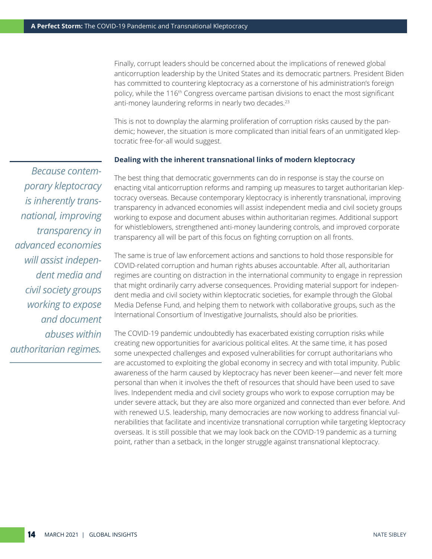Finally, corrupt leaders should be concerned about the implications of renewed global anticorruption leadership by the United States and its democratic partners. President Biden has committed to countering kleptocracy as a cornerstone of his administration's foreign policy, while the 116<sup>th</sup> Congress overcame partisan divisions to enact the most significant anti-money laundering reforms in nearly two decades.<sup>23</sup>

This is not to downplay the alarming proliferation of corruption risks caused by the pandemic; however, the situation is more complicated than initial fears of an unmitigated kleptocratic free-for-all would suggest.

### **Dealing with the inherent transnational links of modern kleptocracy**

The best thing that democratic governments can do in response is stay the course on enacting vital anticorruption reforms and ramping up measures to target authoritarian kleptocracy overseas. Because contemporary kleptocracy is inherently transnational, improving transparency in advanced economies will assist independent media and civil society groups working to expose and document abuses within authoritarian regimes. Additional support for whistleblowers, strengthened anti-money laundering controls, and improved corporate transparency all will be part of this focus on fighting corruption on all fronts.

The same is true of law enforcement actions and sanctions to hold those responsible for COVID-related corruption and human rights abuses accountable. After all, authoritarian regimes are counting on distraction in the international community to engage in repression that might ordinarily carry adverse consequences. Providing material support for independent media and civil society within kleptocratic societies, for example through the Global Media Defense Fund, and helping them to network with collaborative groups, such as the International Consortium of Investigative Journalists, should also be priorities.

The COVID-19 pandemic undoubtedly has exacerbated existing corruption risks while creating new opportunities for avaricious political elites. At the same time, it has posed some unexpected challenges and exposed vulnerabilities for corrupt authoritarians who are accustomed to exploiting the global economy in secrecy and with total impunity. Public awareness of the harm caused by kleptocracy has never been keener—and never felt more personal than when it involves the theft of resources that should have been used to save lives. Independent media and civil society groups who work to expose corruption may be under severe attack, but they are also more organized and connected than ever before. And with renewed U.S. leadership, many democracies are now working to address financial vulnerabilities that facilitate and incentivize transnational corruption while targeting kleptocracy overseas. It is still possible that we may look back on the COVID-19 pandemic as a turning point, rather than a setback, in the longer struggle against transnational kleptocracy.

*Because contemporary kleptocracy is inherently transnational, improving transparency in advanced economies will assist independent media and civil society groups working to expose and document abuses within authoritarian regimes.*